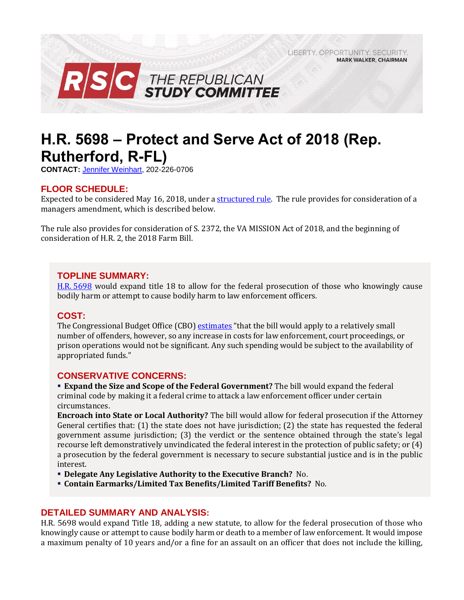LIBERTY, OPPORTUNITY, SECURITY, **MARK WALKER, CHAIRMAN** 



# **H.R. 5698 – Protect and Serve Act of 2018 (Rep. Rutherford, R-FL)**

**CONTACT:** [Jennifer Weinhart,](mailto:jennifer.weinhart@mail.house.gov) 202-226-0706

## **FLOOR SCHEDULE:**

Expected to be considered May 16, 2018, under [a structured rule.](https://rules.house.gov/bill/115/hr-5698) The rule provides for consideration of a managers amendment, which is described below.

The rule also provides for consideration of S. 2372, the VA MISSION Act of 2018, and the beginning of consideration of H.R. 2, the 2018 Farm Bill.

### **TOPLINE SUMMARY:**

H.R. [5698](https://www.gpo.gov/fdsys/pkg/BILLS-115hr5698rh/pdf/BILLS-115hr5698rh.pdf) would expand title 18 to allow for the federal prosecution of those who knowingly cause bodily harm or attempt to cause bodily harm to law enforcement officers.

### **COST:**

The Congressional Budget Office (CBO) [estimates](https://www.cbo.gov/system/files/115th-congress-2017-2018/costestimate/hr5698.pdf) "that the bill would apply to a relatively small number of offenders, however, so any increase in costs for law enforcement, court proceedings, or prison operations would not be significant. Any such spending would be subject to the availability of appropriated funds."

### **CONSERVATIVE CONCERNS:**

 **Expand the Size and Scope of the Federal Government?** The bill would expand the federal criminal code by making it a federal crime to attack a law enforcement officer under certain circumstances.

**Encroach into State or Local Authority?** The bill would allow for federal prosecution if the Attorney General certifies that: (1) the state does not have jurisdiction; (2) the state has requested the federal government assume jurisdiction; (3) the verdict or the sentence obtained through the state's legal recourse left demonstratively unvindicated the federal interest in the protection of public safety; or (4) a prosecution by the federal government is necessary to secure substantial justice and is in the public interest.

- **Delegate Any Legislative Authority to the Executive Branch?** No.
- **Contain Earmarks/Limited Tax Benefits/Limited Tariff Benefits?** No.

### **DETAILED SUMMARY AND ANALYSIS:**

H.R. 5698 would expand Title 18, adding a new statute, to allow for the federal prosecution of those who knowingly cause or attempt to cause bodily harm or death to a member of law enforcement. It would impose a maximum penalty of 10 years and/or a fine for an assault on an officer that does not include the killing,